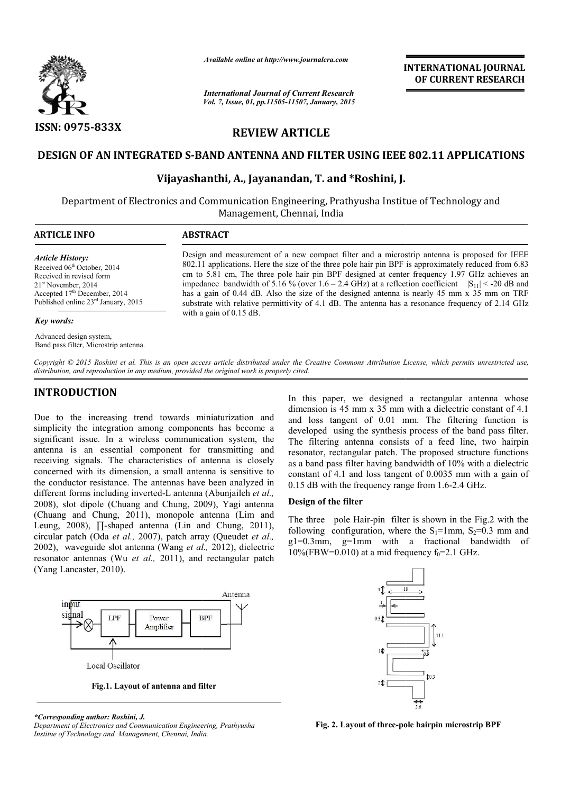

*Available online at http://www.journalcra.com*

# **REVIEW ARTICLE**

# **DESIGN OF AN INTEGRATED S-BAND ANTENNA AND FILTER USING IEEE 802.11 APPLICATIONS ATED S-BAND ANTENNA AND FILTER USING IEEE 802.11<br>Vijayashanthi, A., Jayanandan, T. and \*Roshini, J.**

|                                                                                                                                                                                                                                                                                                                                                                                                                                                                                                                                                                                                                                                                                                                                                                                                                                                                                                                                                                                                                                                                                                                                                                                                               | лтините опине интирулттуриниисписот<br><b>International Journal of Current Research</b><br>Vol. 7, Issue, 01, pp.11505-11507, January, 2015                                                                                                                                                                                                                                                                                                                                                                                                                                                                                                   |                                                                                                    | <b>INTERNATIONAL JOURNAL</b><br>OF CURRENT RESEARCH                                                                                                                                                                                                                                                                                                                                                                                                                                                                                                                                                                                                                                                                                                                                                                                                       |
|---------------------------------------------------------------------------------------------------------------------------------------------------------------------------------------------------------------------------------------------------------------------------------------------------------------------------------------------------------------------------------------------------------------------------------------------------------------------------------------------------------------------------------------------------------------------------------------------------------------------------------------------------------------------------------------------------------------------------------------------------------------------------------------------------------------------------------------------------------------------------------------------------------------------------------------------------------------------------------------------------------------------------------------------------------------------------------------------------------------------------------------------------------------------------------------------------------------|-----------------------------------------------------------------------------------------------------------------------------------------------------------------------------------------------------------------------------------------------------------------------------------------------------------------------------------------------------------------------------------------------------------------------------------------------------------------------------------------------------------------------------------------------------------------------------------------------------------------------------------------------|----------------------------------------------------------------------------------------------------|-----------------------------------------------------------------------------------------------------------------------------------------------------------------------------------------------------------------------------------------------------------------------------------------------------------------------------------------------------------------------------------------------------------------------------------------------------------------------------------------------------------------------------------------------------------------------------------------------------------------------------------------------------------------------------------------------------------------------------------------------------------------------------------------------------------------------------------------------------------|
| <b>ISSN: 0975-833X</b>                                                                                                                                                                                                                                                                                                                                                                                                                                                                                                                                                                                                                                                                                                                                                                                                                                                                                                                                                                                                                                                                                                                                                                                        | <b>REVIEW ARTICLE</b>                                                                                                                                                                                                                                                                                                                                                                                                                                                                                                                                                                                                                         |                                                                                                    |                                                                                                                                                                                                                                                                                                                                                                                                                                                                                                                                                                                                                                                                                                                                                                                                                                                           |
|                                                                                                                                                                                                                                                                                                                                                                                                                                                                                                                                                                                                                                                                                                                                                                                                                                                                                                                                                                                                                                                                                                                                                                                                               |                                                                                                                                                                                                                                                                                                                                                                                                                                                                                                                                                                                                                                               |                                                                                                    |                                                                                                                                                                                                                                                                                                                                                                                                                                                                                                                                                                                                                                                                                                                                                                                                                                                           |
| <b>DESIGN OF AN INTEGRATED S-BAND ANTENNA AND FILTER USING IEEE 802.11 APPLICATIONS</b>                                                                                                                                                                                                                                                                                                                                                                                                                                                                                                                                                                                                                                                                                                                                                                                                                                                                                                                                                                                                                                                                                                                       |                                                                                                                                                                                                                                                                                                                                                                                                                                                                                                                                                                                                                                               |                                                                                                    |                                                                                                                                                                                                                                                                                                                                                                                                                                                                                                                                                                                                                                                                                                                                                                                                                                                           |
|                                                                                                                                                                                                                                                                                                                                                                                                                                                                                                                                                                                                                                                                                                                                                                                                                                                                                                                                                                                                                                                                                                                                                                                                               |                                                                                                                                                                                                                                                                                                                                                                                                                                                                                                                                                                                                                                               | Vijayashanthi, A., Jayanandan, T. and *Roshini, J.                                                 |                                                                                                                                                                                                                                                                                                                                                                                                                                                                                                                                                                                                                                                                                                                                                                                                                                                           |
| Department of Electronics and Communication Engineering, Prathyusha Institue of Technology and                                                                                                                                                                                                                                                                                                                                                                                                                                                                                                                                                                                                                                                                                                                                                                                                                                                                                                                                                                                                                                                                                                                |                                                                                                                                                                                                                                                                                                                                                                                                                                                                                                                                                                                                                                               | Management, Chennai, India                                                                         |                                                                                                                                                                                                                                                                                                                                                                                                                                                                                                                                                                                                                                                                                                                                                                                                                                                           |
| <b>ARTICLE INFO</b>                                                                                                                                                                                                                                                                                                                                                                                                                                                                                                                                                                                                                                                                                                                                                                                                                                                                                                                                                                                                                                                                                                                                                                                           | <b>ABSTRACT</b>                                                                                                                                                                                                                                                                                                                                                                                                                                                                                                                                                                                                                               |                                                                                                    |                                                                                                                                                                                                                                                                                                                                                                                                                                                                                                                                                                                                                                                                                                                                                                                                                                                           |
| <b>Article History:</b><br>Received 06 <sup>th</sup> October, 2014<br>Received in revised form<br>$21st$ November, 2014<br>Accepted $17th$ December, 2014<br>Published online $23rd$ January, 2015                                                                                                                                                                                                                                                                                                                                                                                                                                                                                                                                                                                                                                                                                                                                                                                                                                                                                                                                                                                                            | Design and measurement of a new compact filter and a microstrip antenna is proposed for IEEE<br>802.11 applications. Here the size of the three pole hair pin BPF is approximately reduced from 6.83<br>cm to 5.81 cm, The three pole hair pin BPF designed at center frequency 1.97 GHz achieves an<br>impedance bandwidth of 5.16 % (over 1.6 – 2.4 GHz) at a reflection coefficient $ S_{11}  < -20$ dB and<br>has a gain of 0.44 dB. Also the size of the designed antenna is nearly 45 mm x 35 mm on TRF<br>substrate with relative permittivity of 4.1 dB. The antenna has a resonance frequency of 2.14 GHz<br>with a gain of 0.15 dB. |                                                                                                    |                                                                                                                                                                                                                                                                                                                                                                                                                                                                                                                                                                                                                                                                                                                                                                                                                                                           |
| Key words:                                                                                                                                                                                                                                                                                                                                                                                                                                                                                                                                                                                                                                                                                                                                                                                                                                                                                                                                                                                                                                                                                                                                                                                                    |                                                                                                                                                                                                                                                                                                                                                                                                                                                                                                                                                                                                                                               |                                                                                                    |                                                                                                                                                                                                                                                                                                                                                                                                                                                                                                                                                                                                                                                                                                                                                                                                                                                           |
| Advanced design system,<br>Band pass filter, Microstrip antenna.                                                                                                                                                                                                                                                                                                                                                                                                                                                                                                                                                                                                                                                                                                                                                                                                                                                                                                                                                                                                                                                                                                                                              |                                                                                                                                                                                                                                                                                                                                                                                                                                                                                                                                                                                                                                               |                                                                                                    |                                                                                                                                                                                                                                                                                                                                                                                                                                                                                                                                                                                                                                                                                                                                                                                                                                                           |
| Copyright © 2015 Roshini et al. This is an open access article distributed under the Creative Commons Attribution License, which permits unrestricted use,<br>distribution, and reproduction in any medium, provided the original work is properly cited.                                                                                                                                                                                                                                                                                                                                                                                                                                                                                                                                                                                                                                                                                                                                                                                                                                                                                                                                                     |                                                                                                                                                                                                                                                                                                                                                                                                                                                                                                                                                                                                                                               |                                                                                                    |                                                                                                                                                                                                                                                                                                                                                                                                                                                                                                                                                                                                                                                                                                                                                                                                                                                           |
| <b>INTRODUCTION</b><br>Due to the increasing trend towards miniaturization and<br>simplicity the integration among components has become a<br>significant issue. In a wireless communication system, the<br>antenna is an essential component for transmitting and<br>receiving signals. The characteristics of antenna is closely<br>concerned with its dimension, a small antenna is sensitive to<br>the conductor resistance. The antennas have been analyzed in<br>different forms including inverted-L antenna (Abunjaileh et al.,<br>2008), slot dipole (Chuang and Chung, 2009), Yagi antenna<br>(Chuang and Chung, 2011), monopole antenna (Lim and<br>Leung, 2008), $\prod$ -shaped antenna (Lin and Chung, 2011),<br>circular patch (Oda et al., 2007), patch array (Queudet et al.,<br>2002), waveguide slot antenna (Wang et al., 2012), dielectric<br>resonator antennas (Wu et al., 2011), and rectangular patch<br>(Yang Lancaster, 2010).<br><i><u><b>Input</b></u></i><br>signal<br>LPF<br>Power<br>Amplifier<br><b>Local Oscillator</b><br>Fig.1. Layout of antenna and filter<br>*Corresponding author: Roshini, J.<br>Department of Electronics and Communication Engineering, Prathyusha | Antenna<br><b>BPF</b>                                                                                                                                                                                                                                                                                                                                                                                                                                                                                                                                                                                                                         | Design of the filter<br>$10\%$ (FBW=0.010) at a mid frequency $f_0$ =2.1 GHz.<br>0.31<br>1\$<br>20 | In this paper, we designed a rectangular antenna whose<br>dimension is 45 mm x 35 mm with a dielectric constant of 4.1<br>and loss tangent of 0.01 mm. The filtering function is<br>developed using the synthesis process of the band pass filter.<br>The filtering antenna consists of a feed line, two hairpin<br>resonator, rectangular patch. The proposed structure functions<br>as a band pass filter having bandwidth of 10% with a dielectric<br>constant of 4.1 and loss tangent of 0.0035 mm with a gain of<br>0.15 dB with the frequency range from 1.6-2.4 GHz.<br>The three pole Hair-pin filter is shown in the Fig.2 with the<br>following configuration, where the $S_1=1$ mm, $S_2=0.3$ mm and<br>g1=0.3mm, g=1mm with a fractional bandwidth of<br>11.1<br>10.3<br>$rac{1}{5.6}$<br>Fig. 2. Layout of three-pole hairpin microstrip BPF |

## **INTRODUCTION**

#### **Design of the filter**



*Department of Electronics and Communication Engineering, Prathyusha*  Institue of Technology and Management, Chennai, India.



**Fig. 2. Layout of three-pole hairpin microstrip BPF**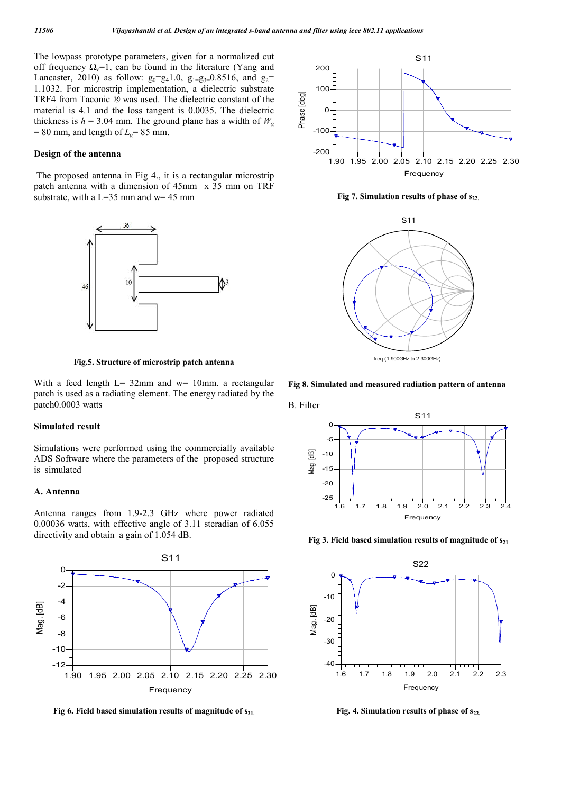The lowpass prototype parameters, given for a normalized cut off frequency  $\Omega_c = 1$ , can be found in the literature (Yang and Lancaster, 2010) as follow:  $g_0 = g_4 1.0$ ,  $g_{1} = g_3 = 0.8516$ , and  $g_2 =$ 1.1032. For microstrip implementation, a dielectric substrate TRF4 from Taconic *®* was used. The dielectric constant of the material is 4.1 and the loss tangent is 0.0035. The dielectric thickness is  $h = 3.04$  mm. The ground plane has a width of  $W_g$  $= 80$  mm, and length of  $L<sub>g</sub> = 85$  mm.

#### **Design of the antenna**

The proposed antenna in Fig 4., it is a rectangular microstrip patch antenna with a dimension of 45mm x 35 mm on TRF substrate, with a L=35 mm and w= 45 mm



**Fig.5. Structure of microstrip patch antenna**

With a feed length  $L = 32$ mm and w= 10mm. a rectangular patch is used as a radiating element. The energy radiated by the patch0.0003 watts

### **Simulated result**

Simulations were performed using the commercially available ADS Software where the parameters of the proposed structure is simulated

#### **A. Antenna**

Antenna ranges from 1.9-2.3 GHz where power radiated 0.00036 watts, with effective angle of 3.11 steradian of 6.055 directivity and obtain a gain of 1.054 dB.



Fig 6. Field based simulation results of magnitude of  $s_{21}$ .



Fig 7. Simulation results of phase of  $s_{22}$ .



**Fig 8. Simulated and measured radiation pattern of antenna**



Fig 3. Field based simulation results of magnitude of s<sub>21</sub>



Fig. 4. Simulation results of phase of  $s_{22}$ .